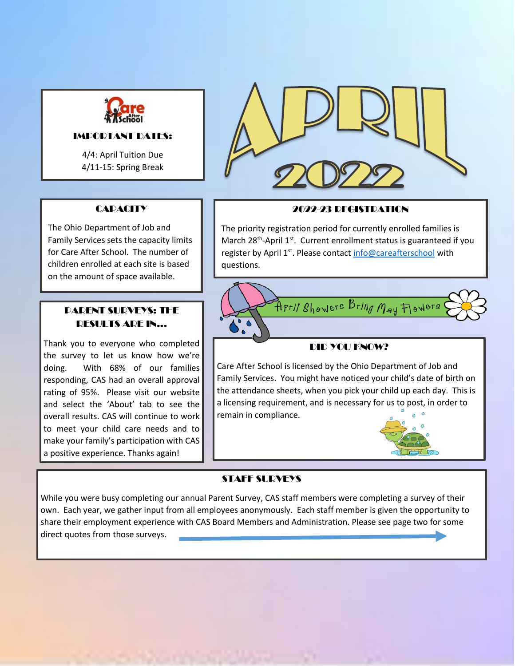

#### IMPORTANT DATES:

4/4: April Tuition Due 4/11-15: Spring Break

#### **CAPACITY**

The Ohio Department of Job and Family Services sets the capacity limits for Care After School. The number of children enrolled at each site is based on the amount of space available.

#### PARENT SURVEYS: THE RESULTS ARE IN...

Thank you to everyone who completed the survey to let us know how we're doing. With 68% of our families responding, CAS had an overall approval rating of 95%. Please visit our website and select the 'About' tab to see the overall results. CAS will continue to work to meet your child care needs and to make your family's participation with CAS a positive experience. Thanks again!



#### 2022-23 REGISTRATION

The priority registration period for currently enrolled families is March 28<sup>th</sup>-April 1<sup>st</sup>. Current enrollment status is guaranteed if you register by April 1<sup>st</sup>. Please contact [info@careafterschool](mailto:info@careafterschool) with questions.



#### DID YOU KNOW?

Care After School is licensed by the Ohio Department of Job and Family Services. You might have noticed your child's date of birth on the attendance sheets, when you pick your child up each day. This is a licensing requirement, and is necessary for us to post, in order to remain in compliance.



#### STAFF SURVEYS

While you were busy completing our annual Parent Survey, CAS staff members were completing a survey of their own. Each year, we gather input from all employees anonymously. Each staff member is given the opportunity to share their employment experience with CAS Board Members and Administration. Please see page two for some direct quotes from those surveys.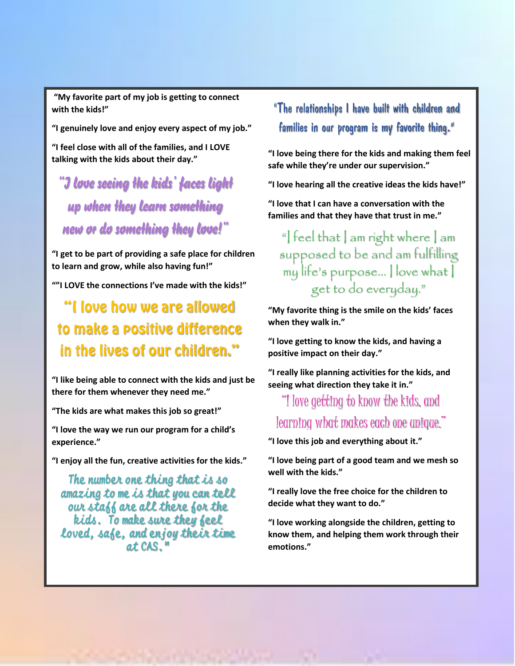**"My favorite part of my job is getting to connect with the kids!"** 

**"I genuinely love and enjoy every aspect of my job."**

**"I feel close with all of the families, and I LOVE talking with the kids about their day."**

*"I love seeing the kids' faces light up when they learn something new or do something they love!"*

**"I get to be part of providing a safe place for children to learn and grow, while also having fun!"**

**""I LOVE the connections I've made with the kids!"**

"I love how we are allowed to make a positive difference in the lives of our children."

**"I like being able to connect with the kids and just be there for them whenever they need me."**

**"The kids are what makes this job so great!"**

**"I love the way we run our program for a child's experience."**

**"I enjoy all the fun, creative activities for the kids."**

**The number one thing that is so amazing to me is that you can tell our staff are all there for the kids. To make sure they feel loved, safe, and enjoy their time at CAS."**

### "The relationships I have built with children and families in our program is my favorite thing."

**"I love being there for the kids and making them feel safe while they're under our supervision."**

**"I love hearing all the creative ideas the kids have!"**

**"I love that I can have a conversation with the families and that they have that trust in me."**

"| feel that  $|$  am right where  $|$  am supposed to be and am fulfilling my life's purpose… I love what I get to do everyday."

**"My favorite thing is the smile on the kids' faces when they walk in."**

**"I love getting to know the kids, and having a positive impact on their day."**

**"I really like planning activities for the kids, and seeing what direction they take it in."**

## "I love getting to know the kids, and learning what makes each one unique."

**"I love this job and everything about it."**

**"I love being part of a good team and we mesh so well with the kids."**

**"I really love the free choice for the children to decide what they want to do."**

**"I love working alongside the children, getting to know them, and helping them work through their emotions."**